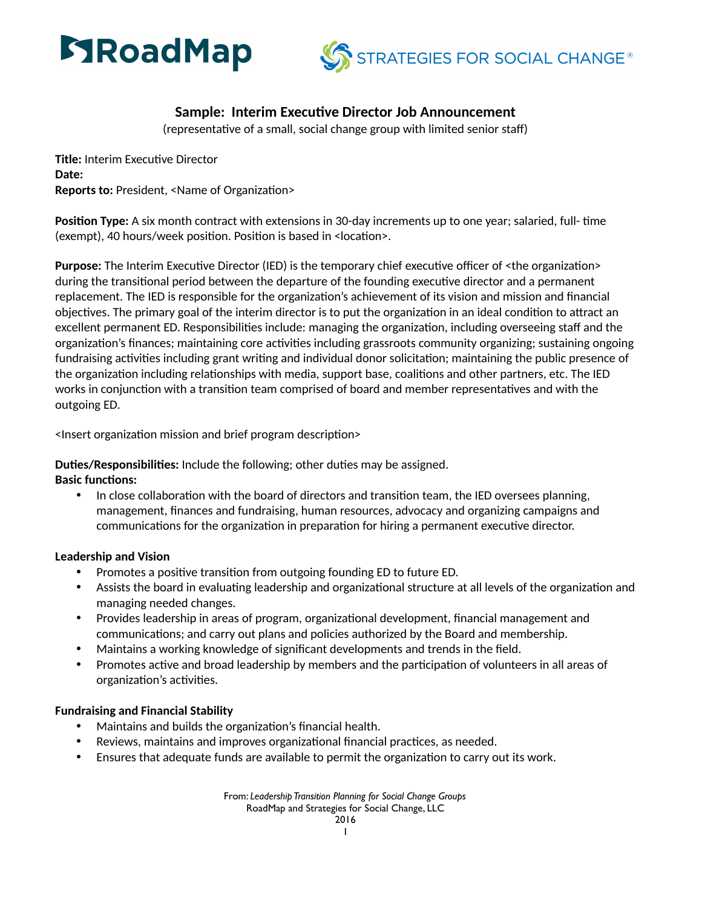



# **Sample: Interim Executive Director Job Announcement**

(representative of a small, social change group with limited senior staff)

**Title: Interim Executive Director Date: Reports to: President, <Name of Organization>** 

**Position Type:** A six month contract with extensions in 30-day increments up to one year; salaried, full- time (exempt), 40 hours/week position. Position is based in <location>.

**Purpose:** The Interim Executive Director (IED) is the temporary chief executive officer of <the organization> during the transitional period between the departure of the founding executive director and a permanent replacement. The IED is responsible for the organization's achievement of its vision and mission and financial objectives. The primary goal of the interim director is to put the organization in an ideal condition to attract an excellent permanent ED. Responsibilities include: managing the organization, including overseeing staff and the organization's finances; maintaining core activities including grassroots community organizing; sustaining ongoing fundraising activities including grant writing and individual donor solicitation; maintaining the public presence of the organization including relationships with media, support base, coalitions and other partners, etc. The IED works in conjunction with a transition team comprised of board and member representatives and with the outgoing ED.

<Insert organization mission and brief program description>

**Duties/Responsibilities:** Include the following; other duties may be assigned.

### **Basic functions:**

In close collaboration with the board of directors and transition team, the IED oversees planning, management, finances and fundraising, human resources, advocacy and organizing campaigns and communications for the organization in preparation for hiring a permanent executive director.

### **Leadership and Vision**

- Promotes a positive transition from outgoing founding ED to future ED.
- Assists the board in evaluating leadership and organizational structure at all levels of the organization and managing needed changes.
- Provides leadership in areas of program, organizational development, financial management and communications; and carry out plans and policies authorized by the Board and membership.
- Maintains a working knowledge of significant developments and trends in the field.
- Promotes active and broad leadership by members and the participation of volunteers in all areas of organization's activities.

### **Fundraising and Financial Stability**

- Maintains and builds the organization's financial health.
- Reviews, maintains and improves organizational financial practices, as needed.
- Ensures that adequate funds are available to permit the organization to carry out its work.

From: *Leadership Transition Planning for Social Change Groups*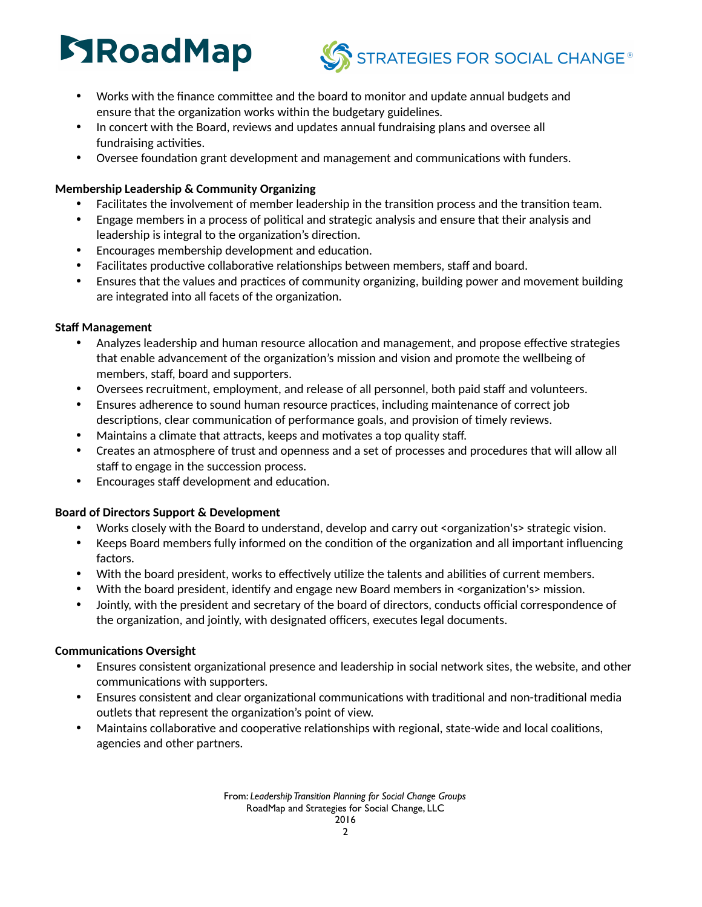# **STRoadMap**



- Works with the finance committee and the board to monitor and update annual budgets and ensure that the organization works within the budgetary guidelines.
- In concert with the Board, reviews and updates annual fundraising plans and oversee all fundraising activities.
- Oversee foundation grant development and management and communications with funders.

## **Membership Leadership & Community Organizing**

- Facilitates the involvement of member leadership in the transition process and the transition team.
- Engage members in a process of political and strategic analysis and ensure that their analysis and leadership is integral to the organization's direction.
- Encourages membership development and education.
- Facilitates productive collaborative relationships between members, staff and board.
- Ensures that the values and practices of community organizing, building power and movement building are integrated into all facets of the organization.

## **Staff Management**

- Analyzes leadership and human resource allocation and management, and propose effective strategies that enable advancement of the organization's mission and vision and promote the wellbeing of members, staff, board and supporters.
- Oversees recruitment, employment, and release of all personnel, both paid staff and volunteers.
- Ensures adherence to sound human resource practices, including maintenance of correct job descriptions, clear communication of performance goals, and provision of timely reviews.
- Maintains a climate that attracts, keeps and motivates a top quality staff.
- Creates an atmosphere of trust and openness and a set of processes and procedures that will allow all staff to engage in the succession process.
- Encourages staff development and education.

# **Board of Directors Support & Development**

- Works closely with the Board to understand, develop and carry out <organization's> strategic vision.
- Keeps Board members fully informed on the condition of the organization and all important influencing factors.
- With the board president, works to effectively utilize the talents and abilities of current members.
- With the board president, identify and engage new Board members in <organization's> mission.
- Jointly, with the president and secretary of the board of directors, conducts official correspondence of the organization, and jointly, with designated officers, executes legal documents.

# **Communications Oversight**

- Ensures consistent organizational presence and leadership in social network sites, the website, and other communications with supporters.
- Ensures consistent and clear organizational communications with traditional and non-traditional media outlets that represent the organization's point of view.
- Maintains collaborative and cooperative relationships with regional, state-wide and local coalitions, agencies and other partners.